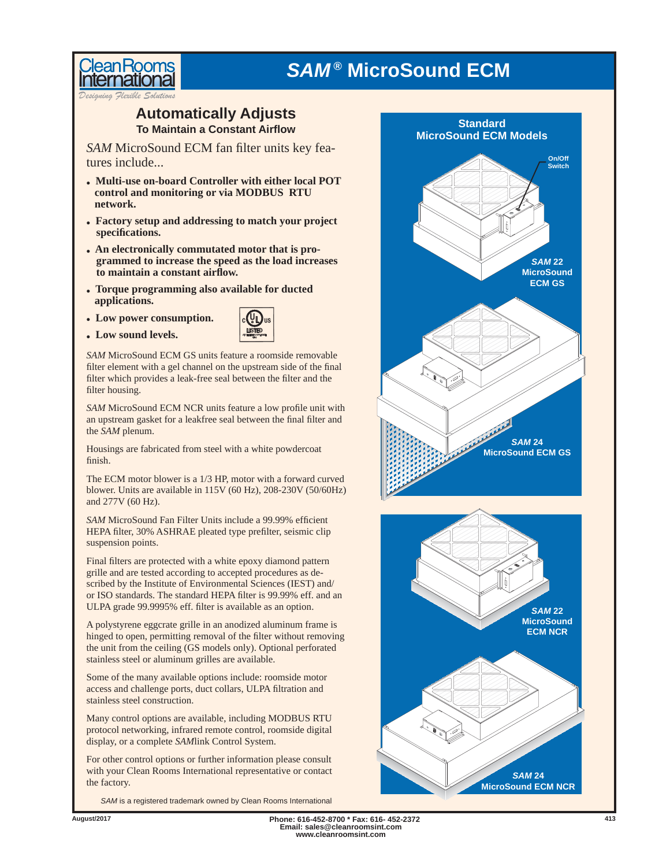



leanRoom

### **To Maintain a Constant Airfl ow Automatically Adjusts Standard**

*SAM* MicroSound ECM fan filter units key features include...

- **Multi-use on-board Controller with either local POT control and monitoring or via MODBUS RTU network.**
- **Factory setup and addressing to match your project specifi cations.**
- **An electronically commutated motor that is programmed to increase the speed as the load increases to maintain a constant airfl ow.**
- **Torque programming also available for ducted applications.**
- **Low power consumption.**
- **Low sound levels.**



*SAM* MicroSound ECM GS units feature a roomside removable filter element with a gel channel on the upstream side of the final filter which provides a leak-free seal between the filter and the filter housing.

**SAM** MicroSound ECM NCR units feature a low profile unit with an upstream gasket for a leakfree seal between the final filter and the *SAM* plenum.

Housings are fabricated from steel with a white powdercoat finish.

The ECM motor blower is a 1/3 HP, motor with a forward curved blower. Units are available in 115V (60 Hz), 208-230V (50/60Hz) and 277V (60 Hz).

*SAM* MicroSound Fan Filter Units include a 99.99% efficient HEPA filter, 30% ASHRAE pleated type prefilter, seismic clip suspension points.

Final filters are protected with a white epoxy diamond pattern grille and are tested according to accepted procedures as described by the Institute of Environmental Sciences (IEST) and/ or ISO standards. The standard HEPA filter is 99.99% eff. and an ULPA grade 99.9995% eff. filter is available as an option.

A polystyrene eggcrate grille in an anodized aluminum frame is hinged to open, permitting removal of the filter without removing the unit from the ceiling (GS models only). Optional perforated stainless steel or aluminum grilles are available.

Some of the many available options include: roomside motor access and challenge ports, duct collars, ULPA filtration and stainless steel construction.

Many control options are available, including MODBUS RTU protocol networking, infrared remote control, roomside digital display, or a complete *SAM*link Control System.

For other control options or further information please consult with your Clean Rooms International representative or contact the factory.

*SAM* is a registered trademark owned by Clean Rooms International



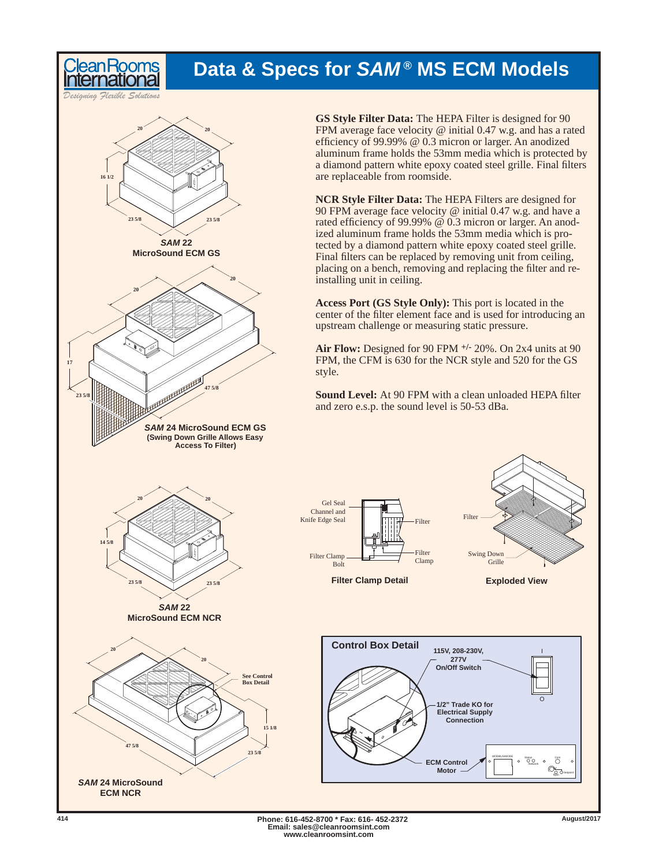## **Data & Specs for** *SAM ®* **MS ECM Models**

*Designing Flexible Solutions*

eanRoom



**GS Style Filter Data:** The HEPA Filter is designed for 90 FPM average face velocity @ initial 0.47 w.g. and has a rated efficiency of 99.99%  $@$  0.3 micron or larger. An anodized aluminum frame holds the 53mm media which is protected by a diamond pattern white epoxy coated steel grille. Final filters are replaceable from roomside.

**NCR Style Filter Data:** The HEPA Filters are designed for 90 FPM average face velocity @ initial 0.47 w.g. and have a rated efficiency of 99.99% @ 0.3 micron or larger. An anodized aluminum frame holds the 53mm media which is protected by a diamond pattern white epoxy coated steel grille. Final filters can be replaced by removing unit from ceiling, placing on a bench, removing and replacing the filter and reinstalling unit in ceiling.

**Access Port (GS Style Only):** This port is located in the center of the filter element face and is used for introducing an upstream challenge or measuring static pressure.

**Air Flow:** Designed for 90 FPM **+/-** 20%. On 2x4 units at 90 FPM, the CFM is 630 for the NCR style and 520 for the GS

**Sound Level:** At 90 FPM with a clean unloaded HEPA filter and zero e.s.p. the sound level is 50-53 dBa.



**www.cleanroomsint.com**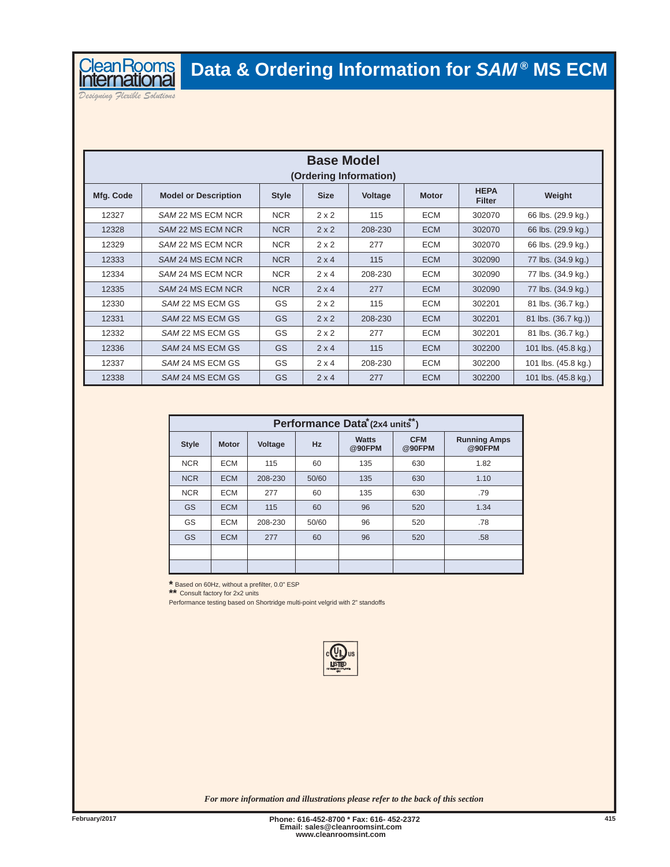

*Designing Flexible Solutions*

| <b>Base Model</b><br>(Ordering Information) |                             |              |              |         |              |                              |                     |  |
|---------------------------------------------|-----------------------------|--------------|--------------|---------|--------------|------------------------------|---------------------|--|
| Mfg. Code                                   | <b>Model or Description</b> | <b>Style</b> | <b>Size</b>  | Voltage | <b>Motor</b> | <b>HEPA</b><br><b>Filter</b> | Weight              |  |
| 12327                                       | SAM 22 MS ECM NCR           | <b>NCR</b>   | $2 \times 2$ | 115     | <b>ECM</b>   | 302070                       | 66 lbs. (29.9 kg.)  |  |
| 12328                                       | SAM 22 MS ECM NCR           | <b>NCR</b>   | 2x2          | 208-230 | <b>ECM</b>   | 302070                       | 66 lbs. (29.9 kg.)  |  |
| 12329                                       | SAM 22 MS ECM NCR           | <b>NCR</b>   | $2 \times 2$ | 277     | <b>ECM</b>   | 302070                       | 66 lbs. (29.9 kg.)  |  |
| 12333                                       | SAM 24 MS ECM NCR           | <b>NCR</b>   | 2x4          | 115     | <b>ECM</b>   | 302090                       | 77 lbs. (34.9 kg.)  |  |
| 12334                                       | SAM 24 MS ECM NCR           | <b>NCR</b>   | $2 \times 4$ | 208-230 | <b>ECM</b>   | 302090                       | 77 lbs. (34.9 kg.)  |  |
| 12335                                       | SAM 24 MS ECM NCR           | <b>NCR</b>   | 2x4          | 277     | <b>ECM</b>   | 302090                       | 77 lbs. (34.9 kg.)  |  |
| 12330                                       | SAM 22 MS ECM GS            | GS           | $2 \times 2$ | 115     | <b>ECM</b>   | 302201                       | 81 lbs. (36.7 kg.)  |  |
| 12331                                       | SAM 22 MS ECM GS            | GS           | 2x2          | 208-230 | <b>ECM</b>   | 302201                       | 81 lbs. (36.7 kg.)) |  |
| 12332                                       | SAM 22 MS ECM GS            | GS           | $2 \times 2$ | 277     | <b>ECM</b>   | 302201                       | 81 lbs. (36.7 kg.)  |  |
| 12336                                       | SAM 24 MS ECM GS            | <b>GS</b>    | 2x4          | 115     | <b>ECM</b>   | 302200                       | 101 lbs. (45.8 kg.) |  |
| 12337                                       | SAM 24 MS ECM GS            | GS           | $2 \times 4$ | 208-230 | <b>ECM</b>   | 302200                       | 101 lbs. (45.8 kg.) |  |
| 12338                                       | SAM 24 MS ECM GS            | GS           | $2 \times 4$ | 277     | <b>ECM</b>   | 302200                       | 101 lbs. (45.8 kg.) |  |

| Performance Data (2x4 units*) |              |         |           |                        |                      |                               |  |  |
|-------------------------------|--------------|---------|-----------|------------------------|----------------------|-------------------------------|--|--|
| <b>Style</b>                  | <b>Motor</b> | Voltage | <b>Hz</b> | <b>Watts</b><br>@90FPM | <b>CFM</b><br>@90FPM | <b>Running Amps</b><br>@90FPM |  |  |
| <b>NCR</b>                    | <b>ECM</b>   | 115     | 60        | 135                    | 630                  | 1.82                          |  |  |
| <b>NCR</b>                    | <b>ECM</b>   | 208-230 | 50/60     | 135                    | 630                  | 1.10                          |  |  |
| <b>NCR</b>                    | <b>ECM</b>   | 277     | 60        | 135                    | 630                  | .79                           |  |  |
| GS                            | <b>ECM</b>   | 115     | 60        | 96                     | 520                  | 1.34                          |  |  |
| GS                            | <b>ECM</b>   | 208-230 | 50/60     | 96                     | 520                  | .78                           |  |  |
| <b>GS</b>                     | <b>ECM</b>   | 277     | 60        | 96                     | 520                  | .58                           |  |  |
|                               |              |         |           |                        |                      |                               |  |  |
|                               |              |         |           |                        |                      |                               |  |  |

\* Based on 60Hz, without a prefilter, 0.0" ESP

**\*\*** Consult factory for 2x2 units

Performance testing based on Shortridge multi-point velgrid with 2" standoffs



*For more information and illustrations please refer to the back of this section*